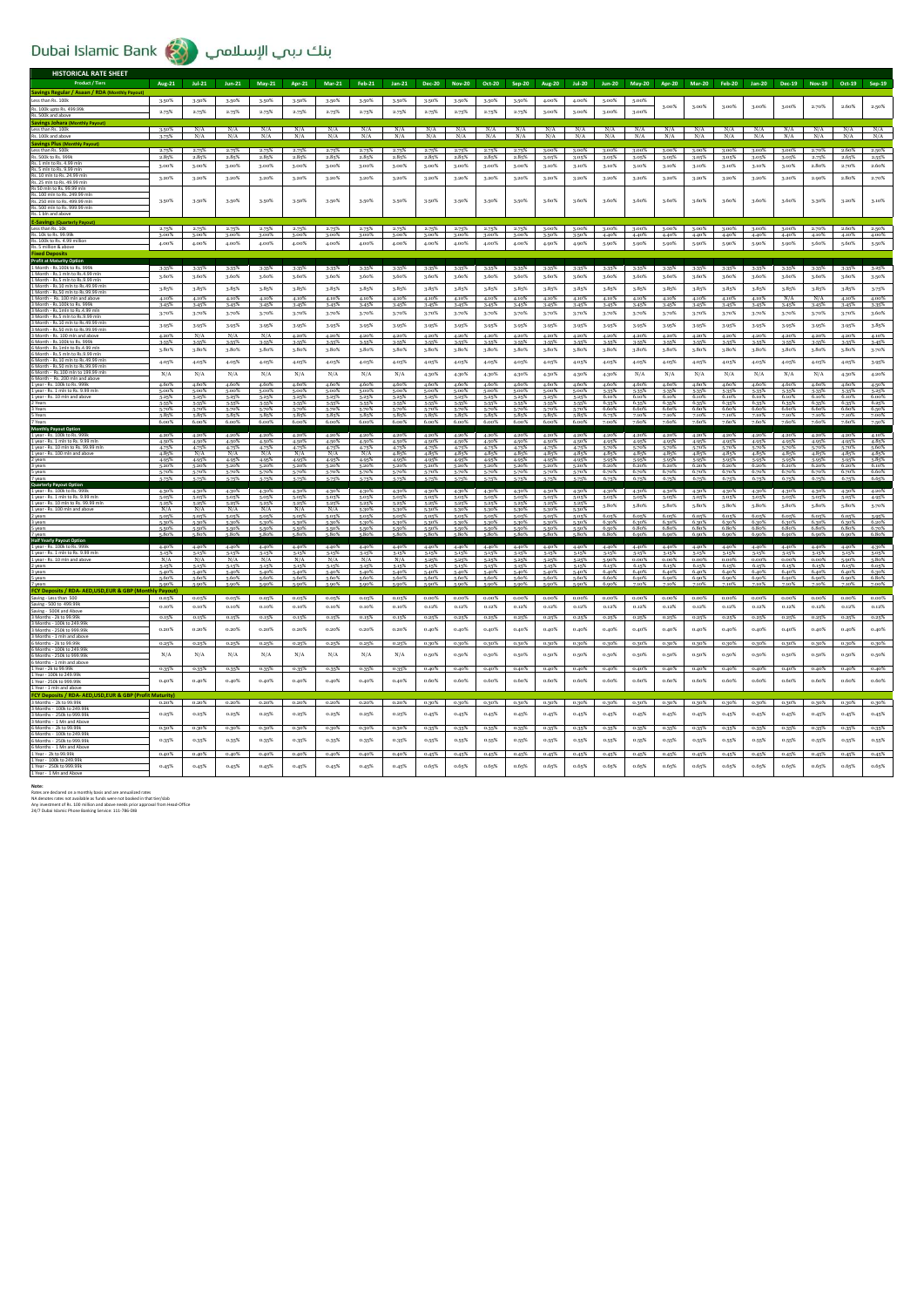## Dubai Islamic Bank بنك دبمي الإسلامي

| HISTORICAL RATE SHEET                                                                                                                                                                                                                                                                                                                                                       |                       |                |                  |                |                |                  |                |                |                |                      |                    |                   |                |                |                   |                  |                |                   |                |                |                   |                |                            |                   |
|-----------------------------------------------------------------------------------------------------------------------------------------------------------------------------------------------------------------------------------------------------------------------------------------------------------------------------------------------------------------------------|-----------------------|----------------|------------------|----------------|----------------|------------------|----------------|----------------|----------------|----------------------|--------------------|-------------------|----------------|----------------|-------------------|------------------|----------------|-------------------|----------------|----------------|-------------------|----------------|----------------------------|-------------------|
| <b>Product / Tiers</b>                                                                                                                                                                                                                                                                                                                                                      | Aug-21                | $Jul-21$       | $Jun-21$         | May-21         | Apr-21         | $Mar-21$         | Feb-21         | $Jan-21$       | <b>Dec-20</b>  | <b>Nov-20</b>        | Oct-20             |                   | Sep-20 Aug-20  | $Jul-20$       | $Jun-20$          | <b>May-20</b>    | Apr-20         | Mar-20            | Feb-20         | Jan-20         |                   | Dec-19 Nov-19  | Oct-19                     | Sep-19            |
| Savings Regular / Asaan / RDA (Monthly Payou<br>Less than Rs. 100k                                                                                                                                                                                                                                                                                                          | 3.50%                 | 3.50%          | 3.50%            | 3.50%          | 3.50%          | 3.50%            |                | 3.50%          | 3.50%          | 3.50%                | 3.50%              | 3.50%             | 4.00%          | 4.00%          | 5,00%             | 5,00%            |                |                   |                |                |                   |                |                            |                   |
| Rs. 100k upto Rs. 499.99k                                                                                                                                                                                                                                                                                                                                                   |                       |                |                  |                |                |                  | 3.50%          |                |                |                      |                    |                   |                |                |                   |                  | 3.00%          | 3.00%             | 3.00%          | 3.00%          | 3.00%             | 2.70%          | 2.60%                      | 2.50%             |
| Rs. 500k and above                                                                                                                                                                                                                                                                                                                                                          | 2.75%                 | 2.75%          | 2.75%            | 2.75%          | 2.75%          | 2.75%            | 2.75%          | 2.75%          | 2.75%          | 2.75%                | 2.75%              | 2.75%             | 3.00%          | 3.00%          | 3.00%             | 3.00%            |                |                   |                |                |                   |                |                            |                   |
| <b>Savings Johara (Monthly Payout)</b><br>Less than Rs. 100k                                                                                                                                                                                                                                                                                                                | 3.50%                 | N/A            | N/A              | N/A            | N/A            | N/A              | N/A            | N/A            | N/A            | N/A                  | N/A                | $\frac{N/A}{N/A}$ | N/A            | N/A            | N/A               | N/A              | N/A            | $\frac{N/A}{N/A}$ | N/A            | N/A            | $\frac{N/A}{N/A}$ | N/A            | $\frac{N/A}{N/A}$          | $\frac{N/A}{N/A}$ |
| Rs. 100k and abov<br><b>Savings Plus (Monthly Payout)</b>                                                                                                                                                                                                                                                                                                                   | 3.75%                 | N/A            | $\overline{N/A}$ | N/A            | N/A            | $\overline{N/A}$ |                |                |                | N/A                  | N/A                |                   | N/A            | N/A            | N/A               | N/A              | N/A            |                   | N/A            |                |                   | N/A            |                            |                   |
| Less than Rs. 500k                                                                                                                                                                                                                                                                                                                                                          | 2.75%                 | 2.75%          | 2.75%            | 2.75%          | 2.75%          | 2.75%            | 2.75%          | 2.75%          | 2.75%          | 2.75%                | 2.75%              | 2.75%             | 3.00%          | 3.00%          | 3.00%             | 3.00%            | 3.00%          | 3.00%             | 3.00%          | 3.00%          | 3.00%             | 2.70%          | 2.60%                      | 2.50%             |
| Rs. 500k to Rs. 999k<br>Rs. 1 mln to Rs. 4.99 ml                                                                                                                                                                                                                                                                                                                            | 2.859<br>3.00%        | 2.85%<br>3.00% | 2.85%<br>3.00%   | 2.85%<br>3.00% | 2.85%<br>3.00% | 2.85%<br>3.00%   | 2.85%<br>3.00% | 2.85%<br>3.00% | 2.85%<br>3.00% | 2.85%<br>3.00%       | 2.85%<br>3.00%     | 2.85%<br>3.00%    | 3.05%<br>3.10% | 3.05%<br>3.10% | 3.05%<br>3.10%    | 3.05%<br>3.10%   | 3.05%<br>3.10% | 3.05%<br>3.10%    | 3.05%<br>3.10% | 3.05%<br>3.10% | 3.05%<br>3.10%    | 2.75%<br>2.80% | 2.659<br>2.70%             | 2.55%<br>2.60%    |
| Rs. 5 mln to Rs. 9.99 mln<br>Rs. 10 mln to Rs. 24.99 mln                                                                                                                                                                                                                                                                                                                    |                       |                |                  |                |                |                  |                |                |                |                      |                    |                   |                |                |                   |                  |                |                   |                |                |                   |                |                            |                   |
| Rs. 25 mln to Rs. 49.99 mln                                                                                                                                                                                                                                                                                                                                                 | 3.20%                 | 3.20%          | 3.20%            | 3.20%          | 3.20%          | 3.20%            | 3.20%          | 3.20%          | 3.20%          | 3.20%                | 3.20%              | 3.20%             | 3.20%          | 3.20%          | 3.20%             | 3.20%            | 3.20%          | 3.20%             | 3.20%          | 3.20%          | 3.20%             | 2.90%          | 2.80%                      | 2.70%             |
| Rs 50 mln to Rs. 99.99 mln<br>Rs. 100 mln to Rs. 249.99 mln                                                                                                                                                                                                                                                                                                                 |                       |                |                  |                |                |                  |                |                |                |                      |                    |                   |                |                |                   |                  |                |                   |                |                |                   |                |                            |                   |
| Rs. 250 mln to Rs. 499.99 mln<br>Rs. 500 mln to Rs. 999.99 mln                                                                                                                                                                                                                                                                                                              | 3.50%                 | 3.50%          | 3.50%            | 3.50%          | 3.50%          | 3.50%            | 3.50%          | 3.50%          | 3.50%          | 3.50%                | 3.50%              | 3.50%             | 3.60%          | 3.60%          | 3.60%             | 3.60%            | 3.60%          | 3.60%             | 3.60%          | 3.60%          | 3.60%             | 3.30%          | 3.20%                      | 3.10%             |
| Rs. 1 bln and abov                                                                                                                                                                                                                                                                                                                                                          |                       |                |                  |                |                |                  |                |                |                |                      |                    |                   |                |                |                   |                  |                |                   |                |                |                   |                |                            |                   |
| <b>E-Savings (Quarterly Payout</b><br>Less than Rs. 10k                                                                                                                                                                                                                                                                                                                     | 2.75%                 | 2.75%          | 2.75%            | 2.75%          | 2.75%          | 2.75%            | 2.75%          | 2.75%          | 2.75%          | 2.75%                | 2.75%              | 2.75%             | 3.00%          |                | $3.00\%$ $3.00\%$ | $3.00\%$         | $3.00\%$       | $3.00\%$          | 3.00% 3.00%    |                | 3.00%             | 2.70%          | 2.60%                      | 2.50%             |
| Rs. 10k to Rs. 99.99k<br>Rs. 100k to Rs. 4.99 million                                                                                                                                                                                                                                                                                                                       | 3.00%                 | 3.00%          | 3.00%            | 3.00%          | 3.00%          | 3.00%            | 3.00%          | 3.00%          | 3.00%          | 3.00%                | 3.00%              | 3.00%             | 3.50%          | 3.50%          | 4.40%             | 4.40%            | 4.40%          | 4.40%             | 4.40%          | 4.40%          | 4.40%             | 4.10%          | 4.10%                      | 4.00%             |
| Rs. 5 million & above                                                                                                                                                                                                                                                                                                                                                       | 4.00%                 | 4.00%          | 4.00%            | 4.00%          | 4.00%          | 4.00%            | 4.00%          | 4.00%          | 4.00%          | 4.00%                | 4.00%              | 4.00%             | 4.90%          | 4.90%          | 5.90%             | 5.90%            | 5.90%          | 5.90%             | 5.90%          | 5.90%          | 5.90%             | 5.60%          | 5.60%                      | 5-50%             |
| <b>Fived Denosit</b><br><b>Profit at Maturity Option</b>                                                                                                                                                                                                                                                                                                                    |                       |                |                  |                |                |                  |                |                |                |                      |                    |                   |                |                |                   |                  |                |                   |                |                |                   |                |                            |                   |
| 1 Month - Rs. 100k to Rs. 999k                                                                                                                                                                                                                                                                                                                                              | 3-35%                 | 3.35%          | 3-35%            | 3.35%          | 3.35%          | 3.35%            | 3.35%          | 3.35%          | 3.35%          | 3.35%                | 3-35%              | 3-35%             | 3.35%          | 3.35%          | 3.35%             | 3.35%            | 3-35%          | 3.35%             | 3.35%          | 3-35%          | 3.35%             | 3.35%          | 3-35%                      | 3.25%             |
| 1 Month - Rs.1 mln to Rs.4.99 mln<br>1 Month - Rs.5 mln to Rs.9.99 mln                                                                                                                                                                                                                                                                                                      | 3.60%                 | 3.60%          | 3.60%            | 3.60%          | 3.60%          | 3.60%            | 3.60%          | 3.60%          | 3.60%          | 3.60%                | 3.60%              | 3.60%             | 3.60%          | 3.60%          | 3.60%             | 3.60%            | 3.60%          | 3.60%             | 3.60%          | 3.60%          | 3.60%             | 3.60%          | 3.60%                      | 3.50%             |
| 1 Month - Rs.10 mln to Rs.49.99 ml<br>1 Month - Rs.50 mln to Rs.99.99 ml                                                                                                                                                                                                                                                                                                    | 3.85%                 | 3.85%          | 3.85%            | 3.85%          | 3.85%          | 3.85%            | 3.85%          | 3,85%          | 3.85%          | 3.85%                | 3.85%              | 3,85%             | 3.85%          | 3.85%          | 3.85%             | 3.85%            | 3.85%          | 3.85%             | 3.85%          | 3,85%          | 3.85%             | 3.85%          | 3.85%                      | 3.75%             |
| 1 Month - Rs. 100 mln and above<br>3 Month - Rs. 100k to Rs. 999k                                                                                                                                                                                                                                                                                                           | 4.10%<br>3-459        | 4.10%<br>3.45% | 4.10%<br>3.45%   | 4.10%<br>3-45% | 4.10%<br>3.45% | 4.10%<br>3.45%   | 4.10%<br>3.45% | 4.10%<br>3.45% | 4.10%<br>3-45% | 4.10%<br>3.45%       | 4.10%<br>$3 - 45%$ | 4.10%<br>3.45%    | 4.10%<br>3.45% | 4.10%<br>3.45% | 4.10%<br>3.45%    | 4.10%<br>$3-45%$ | 4.10%<br>3-45% | 4.10%<br>3.45%    | 4.10%<br>3.45% | 4.10%<br>3.45% | N/A<br>3-45%      | N/A<br>3.45%   | 4.10%<br>$3.45^{\circ}$    | 4.00%<br>3-35%    |
| 3 Month - Rs.1mln to Rs.4.99 mln                                                                                                                                                                                                                                                                                                                                            | 3.70%                 | 3.70%          | 3.70%            | 3.70%          | 3.70%          | 3.70%            | 3.70%          | 3.70%          | 3.70%          | 3.70%                | 3.70%              | 3.70%             | 3.70%          | 3.70%          | 3.70%             | 3.70%            | 3.70%          | 3.70%             | 3.70%          | 3.70%          | 3.70%             | 3.70%          | 3.70%                      | 3.60%             |
| 3 Month - Rs.5 mln to Rs.9.99 ml<br>3 Month - Rs. 10 mln to Rs. 49.99 ml                                                                                                                                                                                                                                                                                                    | 3.95%                 | 3.95%          | 3.95%            | 3.95%          | 3.95%          | 3.95%            | 3.95%          | 3.95%          | 3.95%          | 3.95%                | 3-95%              | 3.95%             | 3.95%          | 3.95%          | 3.95%             | 3.95%            | 3.95%          | 3.95%             | 3.95%          | 3-95%          | 3.95%             | 3.95%          | 3.95%                      | 3.85%             |
| 3 Month - Rs.50 mln to Rs.99.99 mln<br>3 Month - Rs. 100                                                                                                                                                                                                                                                                                                                    | 4.20%                 | N/A            | N/A              | N/A            | 4.20%          | 4.20%            | 4.20%          | 4.20%          | 4.20%          | 4.20%                | 4.20%              | 4.20%             | 4.20%          | 4.20%          | 4.20%             | 4.20%            | 4.20%          | 4.20%             | 4.20%          | 4.20%          | 4.20%             | 4.20%          | 4.20%                      | 4.10%             |
| 6 Month - Rs. 100k to Rs. 999k<br>6 Month - Rs.1mln to Rs.4.99 mln                                                                                                                                                                                                                                                                                                          | 3.55%                 | 3.55%          | 3.55%            | 3.55%          | 3.55%          | 3.55%            | 3.55%          | 3.55%          | 3.55%          | 3.55%                | 3.55%              | 3.55%             | 3.55%          | 3.55%          | 3.55%             | 3.55%            | 3.55%          | 3.55%             | 3.55%          | 3.55%          | 3.55%             | 3.55%          | 3.55%                      | 3-45%             |
| 6 Month - Rs.5 mln to Rs.9.99 mln                                                                                                                                                                                                                                                                                                                                           | 3.80%                 | 3.80%          | 3.80%            | 3.80%          | 3.80%          | 3.80%            | 3.80%          | 3.80%          | 3.80%          | 3.80%                | 3.80%              | 3.80%             | 3.80%          | 3.80%          | 3.80%             | 3.80%            | 3.80%          | 3.80%             | 3.80%          | 3.80%          | 3.80%             | 3.80%          | 3.80%                      | 3.70%             |
| 6 Month - Rs.10 mln to Rs.49.99 mln<br>6 Month - Rs S0 mln to Rs 99 99 ml                                                                                                                                                                                                                                                                                                   | 4.05%                 | 4.05%          | 4.05%            | 4.05%          | 4.05%          | 4.05%            | 4.05%          | 4.05%          | 4.05%          | 4.05%                | 4.05%              | 4.05%             | 4.05%          | 4.05%          | 4.05%             | 4.05%            | 4.05%          | 4.05%             | 4.05%          | 4.05%          | 4.05%             | 4.05%          | 4.05%                      | 3-95%             |
| 6 Month - Rs.100 mln to 199.99 mln<br>6 Month - Rs. 200 mln and abov                                                                                                                                                                                                                                                                                                        | N/A                   | N/A            | N/A              | N/A            | N/A            | N/A              | N/A            | N/A            | 4.30%          | 4.30%                | 4.30%              | 4.30%             | 4.30%          | 4.30%          | 4.30%             | N/A              | N/A            | N/A               | N/A            | N/A            | N/A               | N/A            | 4.30%                      | 4.20%             |
| 1 year - Rs. 100k to Rs. 999k<br>1 year - Rs. 1 mln to Rs. 9.99 mln                                                                                                                                                                                                                                                                                                         | 4.60%<br>5.00%        | 4.60%<br>5.00% | 4.60%<br>5.00%   | 4.60%<br>5.00% | 4.60%<br>5.00% | 4.60%<br>5.00%   | 4.60%<br>5.00% | 4.60%<br>5.00% | 4.60%<br>5.00% | 4.60%<br>5.00%       | 4.60%<br>5.00%     | 4.60%<br>5.00%    | 4.60%<br>5.00% | 4.60%<br>5.00% | 4.60%<br>5-35%    | 4.60%<br>5.35%   | 4.60%<br>5.35% | 4.60%<br>5-35%    | 4.60%<br>5-35% | 4.60%<br>5-35% | 4.60%<br>5-35%    | 4.60%<br>5.35% | 4.60%<br>5-35%             | 4.50%<br>5-25%    |
| 1 year - Rs. 10 mln and above                                                                                                                                                                                                                                                                                                                                               | 5.25%                 | 5.25%          | 5.25%            | 5.25%          | 5.25%          | 5.25%            | 5.25%          | 5.25%          | 5.25%          | 5.25%                | 5.25%              | 5.25%             | 5.25%          | 5.25%          | 6.10%             | 6.10%            | 6.10%          | 6.10%             | 6.10%          | 6.10%          | 6.10%             | 6.10%          | 6.10%                      | 6.00%             |
| 2 Years<br>3 Years                                                                                                                                                                                                                                                                                                                                                          | 5.55%<br>5.70%        | 5-55%<br>5.70% | 5-55%<br>5.70%   | 5.55%<br>5.70% | 5.55%<br>5.70% | 5-55%<br>5.70%   | 5.55%<br>5.70% | 5.55%<br>5.70% | 5-55%<br>5.70% | 5-55%<br>5.70%       | 5-55%<br>5.70%     | 5-55%<br>5-70%    | 5.55%<br>5.70% | 5-55%<br>5.70% | 6.35%<br>6.60%    | 6,35%<br>6.60%   | 6.35%<br>6.60% | 6.35%<br>6.60%    | 6.35%<br>6.60% | 6.35%<br>6.60% | 6.35%<br>6.60%    | 6.35%<br>6.60% | 6.35%<br>6,609             | 6.25%<br>6.50%    |
| 5 Years<br>7 Years                                                                                                                                                                                                                                                                                                                                                          | 5.85%<br>6.00%        | 5,85%<br>6.00% | 5.85%<br>6.00%   | 5,85%<br>6.00% | 5.85%<br>6.00% | 5.85%<br>6.00%   | 5.85%<br>6.00% | 5.85%<br>6.00% | 5.85%<br>6.00% | 5.85%<br>6.00%       | 5.85%<br>6.00%     | 5.85%<br>6.00%    | 5,85%<br>6.00% | 5,85%<br>6.00% | 6.75%<br>7.00%    | 7.10%<br>7.60%   | 7.10%<br>7.60% | 7.10%<br>7.60%    | 7.10%<br>7.60% | 7.10%<br>7.60% | 7.10%<br>7.60%    | 7.10%<br>7.60% | 7.10%<br>7.60%             | 7.00%<br>7.50%    |
| <b>Monthly Payout Option</b><br>1 year - Rs. 100k to Rs. 999k                                                                                                                                                                                                                                                                                                               | 4.20%                 | 4.20%          | 4.20%            | 4.20%          | 4.20%          | 4.20%            | 4.20%          | 4.20%          | 4.20% 4.20%    |                      | 4.20%              | 4.20%             | 4.20%          | 4.20%          | 4.20%             | 4.20%            | 4.20%          | 4.20%             | 4.20%          | 4.20%          | 4.20%             | 4.20%          | 4.20%                      | 4.10%             |
| 1 year - Rs. 1 mln to Rs. 9.99 mln                                                                                                                                                                                                                                                                                                                                          | 4.50%                 | 4.50%          | 4.50%            | 4.50%          | 4.50%          | 4,50%            | 4.50%          | 4.50%          | 4.50%          | 4.50%                | 4.50%              | 4.50%             | 4.50%          | 4.50%          | 4.95%             | 4.95%            | 4.95%          | 4.95%             | 4.95%          | 4.95%          | 4.95%             | 4.95%          | 4.95%                      | 4.85%             |
| 1 year - Rs. 10 mln to Rs. 99.99 mln<br>1 year - Rs. 100 mln and above                                                                                                                                                                                                                                                                                                      | 4.75%<br>4.85%        | 4.75%<br>N/A   | 4.75%<br>N/A     | 4.75%<br>N/A   | 4.75%<br>N/A   | 4.75%<br>N/A     | 4.75%<br>N/A   | 4.75%<br>4.85% | 4.75%<br>4.85% | 4.75%<br>4.85%       | 4.75%<br>4.85%     | 4.75%<br>4.85%    | 4.75%<br>4.85% | 4.75%<br>4.85% | 5.70%<br>4.85%    | 5.70%<br>4.85%   | 5.70%<br>4.85% | 5.70%<br>4.85%    | 5.70%<br>4.85% | 5.70%<br>4.85% | 5.70%<br>4.85%    | 5.70%<br>4.85% | 5.70%<br>4.85%             | 5.60%<br>4.85%    |
| 2 years<br>3 years                                                                                                                                                                                                                                                                                                                                                          | 4.95%<br>5.20%        | 4.95%<br>5.20% | 4.95%<br>5.20%   | 4.95%<br>5.20% | 4.95%<br>5.20% | 4.95%<br>5.20%   | 4.95%<br>5.20% | 4.95%<br>5.20% | 4.95%<br>5.20% | 4.95%<br>5.20%       | 4.95%<br>5.20%     | 4.95%<br>5.20%    | 4.95%<br>5.20% | 4.95%<br>5.20% | 5.95%<br>6.20%    | 5.95%<br>6.20%   | 5.95%<br>6.20% | 5.95%<br>6.20%    | 5.95%<br>6.20% | 5-95%<br>6.20% | 5.95%<br>6.20%    | 5.95%<br>6.20% | 5.95%<br>6.20%             | 6.10%             |
| 5 years                                                                                                                                                                                                                                                                                                                                                                     | 5.70%<br>5-75%        | 5.70%<br>5.75% | 5.70%<br>5,75%   | 5.70%<br>5.75% | 5.70%<br>5.75% | 5.70%<br>5.75%   | 5.70%<br>575%  | 5.70%<br>5.75% | 5.70%<br>6.75% | 5.70%<br>5.75%       | 5.70%<br>5.75%     | 5.70%<br>5.75%    | 5.70%<br>5.75% | 5.70%<br>5.75% | 6.70%<br>6.75%    | 6.70%<br>6.75%   | 6.70%<br>6.75% | 6.70%<br>6.75%    | 6.70%<br>6.75% | 6.70%<br>6.75% | 6.70%<br>6.75%    | 6.70%<br>6.75% | 6.70%<br>6.75%             | 6.60%<br>6.65%    |
| Quarterly Payout Opt                                                                                                                                                                                                                                                                                                                                                        |                       |                |                  |                |                |                  |                |                |                |                      |                    |                   |                |                |                   |                  |                |                   |                |                |                   |                |                            |                   |
| 1 year - Rs. 100k to Rs. 999k<br>1 year - Rs. 1 mln to Rs. 9.99 mln                                                                                                                                                                                                                                                                                                         | 4.30%<br>5.05%        | 4.30%<br>5.059 | 4.30%<br>5.05%   | 4.30%<br>5.05% | 4.30%<br>5.05% | 4.30%<br>5.05%   | 4.30%<br>5.05% | 4.30%<br>5.05% | 4.30%<br>5.05% | 4.30%<br>5.05%       | 4.30%<br>5.05%     | 4.30%<br>5.05%    | 4,30%<br>5.05% | 4.30%<br>5.05% | 4.30%<br>5.05%    | 4.30%<br>5.05%   | 4.30%<br>5.05% | 4.30%<br>5.05%    | 4.30%<br>5.05% | 4.30%<br>5.05% | 4.30%<br>5.05%    | 4.30%<br>5.05% | 4.30%<br>5.059             | 4.20%<br>4.95%    |
| 1 year - Rs. 10 mln to Rs. 99.99 mln<br>1 year - Rs. 100 mln and above                                                                                                                                                                                                                                                                                                      | 5.25%<br>N/A          | 5.25%<br>N/A   | 5.25%<br>N/A     | 5.25%<br>N/A   | 5.25%<br>N/A   | 5.25%<br>N/A     | 5.25%<br>5.30% | 5.25%<br>5.30% | 5.25%<br>5.30% | 5.25%<br>5.30%       | 5.25%<br>5.30%     | 5.25%<br>5.30%    | 5.25%<br>5.30% | 5.25%<br>5.30% | 5,80%             | 5.80%            | 5,80%          | 5,80%             | 5,80%          | 5.80%          | 5,80%             | 5.80%          | 5.80%                      | 5.70%             |
| 2 years<br>3 years                                                                                                                                                                                                                                                                                                                                                          | 5.05%<br>5.30%        | 5.05%<br>5.30% | 5.05%<br>5.30%   | 5.05%<br>5.30% | 5.05%<br>5.30% | 5.05%<br>5-30%   | 5.05%<br>5.30% | 5.05%<br>5.30% | 5-30%          | 5.05% 5.05%<br>5.30% | 5.05%<br>5.30%     | 5.05%<br>5.30%    | 5.05%<br>5.30% | 5.05%<br>5.30% | 6.05%<br>6.30%    | 6.05%<br>6.30%   | 6.05%<br>6.30% | 6.05%<br>6.30%    | 6.05%<br>6,30% | 6.05%<br>6.30% | 6.05%<br>6.30%    | 6.05%<br>6.30% | 6.05%<br>6.30%             | 5-95%<br>6.20%    |
| 5 years                                                                                                                                                                                                                                                                                                                                                                     | 5.50%                 | 5.50%          | 5.50%            | 5.50%          | 5.50%          | 5.50%            | 5.50%          | 5.50%          | 5.50%          | 5.50%                | 5.50%              | 5.50%             | 5.50%          | 5.50%          | 6.50%             | 6.80%            | 6.80%          | 6.80%             | 6.80%          | 6.80%          | 6.80%             | 6.80%          | 6.80%                      | 6.70%             |
| 7 years<br>Half Yearly Payout Option                                                                                                                                                                                                                                                                                                                                        | 5.80%                 | 5.80%          |                  | 5.80%          | 5.80%          | 5.80%            | 5.80%          | 5.80%          | 5.80%          | 5.80%                | 5,80%              | 5.80%             | 5,80%          | 5.80%          |                   | 6.90%            | 6.90%          | 6,90%             | 6,90%          | 6.90%          | 6.90%             | 6.90%          | 6.90%                      | 6.80%             |
| 1 year - Rs. 100k to Rs. 999<br>1 year - Rs. 1 mln to Rs. 9.99 mln                                                                                                                                                                                                                                                                                                          | 4.40%<br>5.15%        | 4.40%<br>5.15% | 4.40%<br>5.15%   | 4.40%<br>5.15% | 4.40%<br>5.15% | 4.40%<br>5.15%   | 4.40%<br>5.15% | 4.40%<br>5.15% | 4.40%<br>5.15% | 4.40%<br>5-15%       | 4.40%<br>5.15%     | 4.40%<br>5.15%    | 4.40%<br>5.15% | 4.40%<br>5-15% | 4.40%<br>5.15%    | 4.40%<br>5.15%   | 4.40%<br>5.15% | 4.40%<br>5-15%    | 4.40%<br>5.15% | 4.40%<br>5.15% | 4.40%<br>5.15%    | 4.40%<br>5.15% | 4.40%<br>5.15%             | 4.30%<br>5.05%    |
| 1 year - Rs. 10 mln and above                                                                                                                                                                                                                                                                                                                                               | N/A<br>5.15%          | N/A<br>5.15%   | N/A<br>5.15%     | N/A<br>5.15%   | N/A            | N/A              | N/A            | N/A            | 5.25%          | 5.25%                |                    |                   |                | 5.25%          | 5.90%             | 0.00%            | 0.00%          | 0.00%             |                |                |                   |                | 5.90%                      | 5.80%<br>6.05%    |
| 2 years<br>3 years                                                                                                                                                                                                                                                                                                                                                          |                       |                |                  |                |                |                  |                |                |                |                      | 5-259              | 5.25%             | 5.25%          |                |                   |                  |                |                   | $0.00\%$       | 0.00%          | 0.00%             | 0.00%          |                            |                   |
|                                                                                                                                                                                                                                                                                                                                                                             | 5.40                  | 5.409          | 5.40%            | 5.40%          | 5.15%<br>5.40% | 5.15%<br>5.40%   | 5.15%<br>5.40% | 5.15%<br>5.40% | 5.15%<br>5.40% | 5.15%<br>5.40%       | 5.15%<br>5.40%     | 5.15%<br>5.40%    | 5.15%<br>5.40% | 5.15%<br>5.40% | 6.15%<br>6.40%    | 6.15%<br>6.40%   | 6.15%<br>6.40% | 6.15%<br>6.409    | 6.15%<br>6.40% | 6.15%<br>6.40% | 6.15%<br>6.40%    | 6.15%<br>6.40% | 6.15%<br>6.40 <sup>5</sup> | 6.30%             |
| S years<br>7 years                                                                                                                                                                                                                                                                                                                                                          | 5.60%<br>5.90%        | 5.60%<br>5.90% | 5.60%<br>5.90%   | 5.60%<br>5.90% | 5.60%<br>5.90% | 5.60%<br>5.90%   | 5.60%<br>5.90% | 5.60%<br>5.90% | 5.60%<br>5.90% | 5.60%<br>5,90%       | 5.60%<br>5,90%     | 5.60%<br>5.90%    | 5.60%<br>5.90% | 5.60%<br>5,90% | 6.60%<br>6.90%    | 6.90%<br>7.10%   | 6.90%<br>7.10% | 6.90%<br>7.10%    | 6.90%<br>7.10% | 6.90%<br>7.10% | 6.90%<br>7.10%    | 6.90%<br>7.10% | 6.90%<br>7.109             | 6.80%<br>7.00%    |
|                                                                                                                                                                                                                                                                                                                                                                             | Pavor                 |                |                  |                |                |                  |                |                |                |                      |                    |                   |                |                |                   |                  |                |                   |                |                |                   |                |                            |                   |
| FCY Deposits / RDA- AED,USD,EUR & GBP                                                                                                                                                                                                                                                                                                                                       | 0.05%                 | 0.05%<br>0.10% | 0.05%            | 0.05%          | 0.05%          | 0.05%            | 0.05%          | 0.05%          | 0.00%          | 0.00%                | 0.00%              | 0.00%             | 0.00%          | 0.00%          | 0.00%             | 0.00%            | 0.00%          | 0.00%             | 0.00%          | 0.00%          | 0.00%             | 0.00%          | $0.00\%$                   | $0.00\%$          |
| Saving - Less than 500<br>Saving - 500 to 499.99k<br>Saving - 500K and Abov                                                                                                                                                                                                                                                                                                 | 0.10%                 |                | 0.10%            | 0.10%          | 0.10%          | 0.10%            | 0.10%          | 0.10%          | 0.12%          | 0.12%                | 0.12%              | $0.12\%$          | 0.12%          | 0.12%          | 0.12%             | 0.12%            | 0.12%          | 0.12%             | 0.12%          | 0.12%          | 0.12%             | 0.12%          | 0.12%                      | $0.12\%$          |
| 3 Months - 2k to 99.99k<br>3 Months - 100k to 249.99                                                                                                                                                                                                                                                                                                                        | 0.15%                 | 0.15%          | 0.15%            | 0.15%          | 0.15%          | 0.15%            | 0.15%          | 0.15%          | 0.25%          | 0.25%                | 0.25%              | 0.25%             | 0.25%          | 0.25%          | 0.25%             | 0.25%            | 0.25%          | 0.25%             | 0.25%          | 0.25%          | 0.25%             | 0.25%          | 0.25%                      | 0.25%             |
|                                                                                                                                                                                                                                                                                                                                                                             | 0.20%                 | 0.20%          | 0.20%            | 0.20%          | 0.20%          | 0.20%            | 0.20%          | 0.20%          | 0.40%          | 0.40%                | 0.40%              | 0.40%             | 0.40%          | 0.40%          | 0.40%             | 0.40%            | 0.40%          | 0.40%             | 0.40%          | 0.40%          | 0.40%             | 0.40%          | 0.40%                      | 0.40%             |
| 3 Months - 250k to 999.99<br>3 Months - 1 mln and abov<br>6 Months - 2k to 99.99<br>6 Months - 100k to 249 99                                                                                                                                                                                                                                                               | 0.25%                 | 0.25%          | 0.25%            | 0.25%          | 0.25%          | 0.25%            | 0.25%          | 0.25%          | 0.30%          | 0.30%                | 0.30%              | 0.30%             | 0.30%          | 0.30%          | 0.30%             | 0,30%            | 0.30%          | 0.30%             | 0.30%          | 0.30%          | 0.30%             | 0.30%          | 0.30%                      | 0.30%             |
| 6 Months - 250k to 999.99k                                                                                                                                                                                                                                                                                                                                                  | N/A                   | N/A            | N/A              | N/A            | N/A            | N/A              | N/A            | N/A            | 0.50%          | $0.50\%$             | 0.50%              | 0.50%             | 0.50%          | 0.50%          | 0.50%             | 0.50%            | $0.50\%$       | 0.50%             | $0.50\%$       | $0.50\%$       | 0.50%             | 0.50%          | 0.50%                      | 0.50%             |
|                                                                                                                                                                                                                                                                                                                                                                             | 0.35%                 | 0.35%          | 0.35%            | 0.35%          | 0.35%          | 0.35%            | 0.35%          | 0.35%          | 0.40%          | 0.40%                | 0.40%              | 0.40%             | 0.40%          | 0.40%          | 0.40%             | 0.40%            | 0.40%          | 0.40%             | 0.40%          | 0.40%          | 0.40%             | 0.40%          | 0.40%                      | 0.40%             |
|                                                                                                                                                                                                                                                                                                                                                                             | 0.40%                 | 0.40%          | 0.40%            | 0.40%          | 0.40%          | 0.40%            | 0.40%          | 0.40%          | 0.60%          | 0.60%                | 0.60%              | 0.60%             | 0.60%          | 0.60%          | 0.60%             | 0.60%            | 0.60%          | 0.60%             | 0.60%          | 0.60%          | 0.60%             | 0.60%          | 0.60%                      | 0.60%             |
|                                                                                                                                                                                                                                                                                                                                                                             |                       |                |                  |                |                |                  |                |                |                |                      |                    |                   |                |                |                   |                  |                |                   |                |                |                   |                |                            |                   |
|                                                                                                                                                                                                                                                                                                                                                                             | fit Maturity<br>0.20% |                |                  |                |                | $0.20\%$         | 0.20%          | 0.20%          | $0.30\%$       |                      | 0.30%              | 0.30%             | 0.30%          |                | $0.30\%$          | 0.30%            |                | $0.30\%$          |                | 0.30%          | 0.30%             | 0.30%          | 0.30%                      | 0.30%             |
|                                                                                                                                                                                                                                                                                                                                                                             |                       | 0.20%          | 0.20%            | 0.20%          | 0.20%          |                  |                |                |                | 0.30%                |                    |                   |                | 0.30%          |                   |                  | 0.30%          |                   | 0.30%          |                |                   |                |                            |                   |
|                                                                                                                                                                                                                                                                                                                                                                             | 0.25%                 | 0.25%          | 0.25%            | 0.25%          | 0.25%          | 0.25%            | 0.25%          | 0.25%          | 0.45%          | 0.45%                | 0.45%              | 0.45%             | 0.45%          | 0.45%          | 0.45%             | 0.45%            | 0.45%          | 0.45%             | 0.45%          | 0.45%          | 0.45%             | 0.45%          | 0.45%                      | 0.45%             |
|                                                                                                                                                                                                                                                                                                                                                                             | 0.30%                 | 0.30%          | 0.30%            | 0.30%          | 0,30%          | 0.30%            | 0.30%          | 0,30%          | 0.35%          | 0.35%                | 0.35%              | 0.35%             | 0.35%          | 0.35%          | 0.35%             | 0.35%            | 0.35%          | 0.35%             | 0.35%          | 0.35%          | 0.35%             | 0.35%          | 0.35%                      | 0.35%             |
| 6 Months - 1 mln and abov<br>1 Year - 2k to 99.99k<br>1 Year - 100k to 249.99k<br>1 Year - 250k to 999.99k<br>1 Year - 1 mln and aho<br><b>FCY Deposits / RDA- A</b><br>3 Months - 2k to 99.99k<br>3 Months - 100k to 249.99k<br>3 Months - 250k to 999.99<br>3 Months - 1 Mn and Abo<br>6 Months - 2k to 99.99k<br>6 Months - 100k to 249.99<br>6 Months - 250k to 999.99k | 0.35%                 | 0.35%          | 0.35%            | 0.35%          | 0.35%          | 0.35%            | 0.35%          | 0.35%          | 0.55%          | 0.55%                | 0.55%              | 0.55%             | 0.55%          | 0.55%          | 0.55%             | 0.55%            | 0.55%          | 0.55%             | 0.55%          | 0.55%          | 0.55%             | $0.55\%$       | 0.55%                      | 0.55%             |
| 6 Months - 1 Mn and Abow<br>1 Year - 2k to 99.99k                                                                                                                                                                                                                                                                                                                           | 0.40%                 | 0.40%          | 0.40%            | 0.40%          | 0.40%          | 0.40%            | 0.40%          | 0.40%          | 0.45%          | 0.45%                | 0.45%              | 0.45%             | 0.45%          | 0.45%          | 0.45%             | 0.45%            | 0.45%          | 0.45%             | 0.45%          | 0.45%          | 0.45%             | 0.45%          | 0.45%                      | 0.45%             |
| 1 Year - 100k to 249.99k<br>1 Year - 250k to 999.99                                                                                                                                                                                                                                                                                                                         | 0.45%                 | 0.45%          | 0.45%            | 0.45%          | 0.45%          | 0.45%            | 0.45%          | 0.45%          | 0.65%          | 0.65%                | 0.65%              | 0.65%             | 0.65%          | 0.65%          | 0.65%             | 0.65%            | 0.65%          | 0.65%             | 0.65%          | 0.65%          | 0.65%             | 0.65%          | 0.65%                      | 0.65%             |

**Note:**

Rates are declared on a monthly basis and are annualized rates<br>NA denotes rates not available as funds were not booked in that tier/slab<br>Any investment of Rs. 100 million and above needs prior approval from Head-Office<br>24/